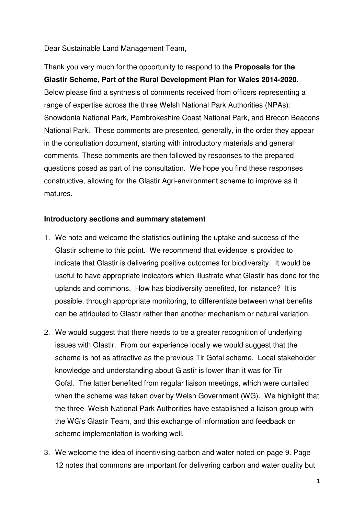Dear Sustainable Land Management Team,

Thank you very much for the opportunity to respond to the **Proposals for the Glastir Scheme, Part of the Rural Development Plan for Wales 2014-2020.**  Below please find a synthesis of comments received from officers representing a range of expertise across the three Welsh National Park Authorities (NPAs): Snowdonia National Park, Pembrokeshire Coast National Park, and Brecon Beacons National Park. These comments are presented, generally, in the order they appear in the consultation document, starting with introductory materials and general comments. These comments are then followed by responses to the prepared questions posed as part of the consultation. We hope you find these responses constructive, allowing for the Glastir Agri-environment scheme to improve as it matures.

#### **Introductory sections and summary statement**

- 1. We note and welcome the statistics outlining the uptake and success of the Glastir scheme to this point. We recommend that evidence is provided to indicate that Glastir is delivering positive outcomes for biodiversity. It would be useful to have appropriate indicators which illustrate what Glastir has done for the uplands and commons. How has biodiversity benefited, for instance? It is possible, through appropriate monitoring, to differentiate between what benefits can be attributed to Glastir rather than another mechanism or natural variation.
- 2. We would suggest that there needs to be a greater recognition of underlying issues with Glastir. From our experience locally we would suggest that the scheme is not as attractive as the previous Tir Gofal scheme. Local stakeholder knowledge and understanding about Glastir is lower than it was for Tir Gofal. The latter benefited from regular liaison meetings, which were curtailed when the scheme was taken over by Welsh Government (WG). We highlight that the three Welsh National Park Authorities have established a liaison group with the WG's Glastir Team, and this exchange of information and feedback on scheme implementation is working well.
- 3. We welcome the idea of incentivising carbon and water noted on page 9. Page 12 notes that commons are important for delivering carbon and water quality but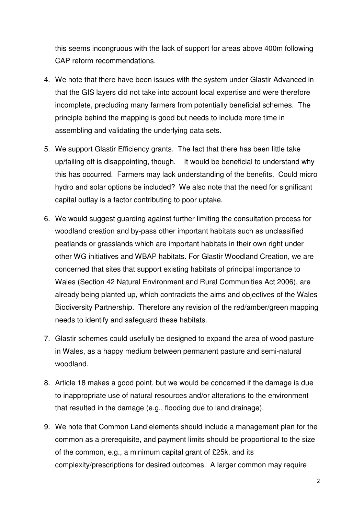this seems incongruous with the lack of support for areas above 400m following CAP reform recommendations.

- 4. We note that there have been issues with the system under Glastir Advanced in that the GIS layers did not take into account local expertise and were therefore incomplete, precluding many farmers from potentially beneficial schemes. The principle behind the mapping is good but needs to include more time in assembling and validating the underlying data sets.
- 5. We support Glastir Efficiency grants. The fact that there has been little take up/tailing off is disappointing, though. It would be beneficial to understand why this has occurred. Farmers may lack understanding of the benefits. Could micro hydro and solar options be included? We also note that the need for significant capital outlay is a factor contributing to poor uptake.
- 6. We would suggest guarding against further limiting the consultation process for woodland creation and by-pass other important habitats such as unclassified peatlands or grasslands which are important habitats in their own right under other WG initiatives and WBAP habitats. For Glastir Woodland Creation, we are concerned that sites that support existing habitats of principal importance to Wales (Section 42 Natural Environment and Rural Communities Act 2006), are already being planted up, which contradicts the aims and objectives of the Wales Biodiversity Partnership. Therefore any revision of the red/amber/green mapping needs to identify and safeguard these habitats.
- 7. Glastir schemes could usefully be designed to expand the area of wood pasture in Wales, as a happy medium between permanent pasture and semi-natural woodland.
- 8. Article 18 makes a good point, but we would be concerned if the damage is due to inappropriate use of natural resources and/or alterations to the environment that resulted in the damage (e.g., flooding due to land drainage).
- 9. We note that Common Land elements should include a management plan for the common as a prerequisite, and payment limits should be proportional to the size of the common, e.g., a minimum capital grant of £25k, and its complexity/prescriptions for desired outcomes. A larger common may require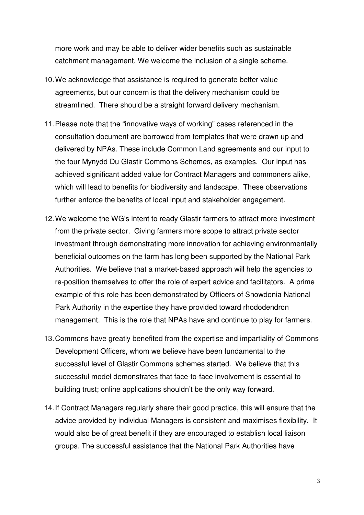more work and may be able to deliver wider benefits such as sustainable catchment management. We welcome the inclusion of a single scheme.

- 10. We acknowledge that assistance is required to generate better value agreements, but our concern is that the delivery mechanism could be streamlined. There should be a straight forward delivery mechanism.
- 11. Please note that the "innovative ways of working" cases referenced in the consultation document are borrowed from templates that were drawn up and delivered by NPAs. These include Common Land agreements and our input to the four Mynydd Du Glastir Commons Schemes, as examples. Our input has achieved significant added value for Contract Managers and commoners alike, which will lead to benefits for biodiversity and landscape. These observations further enforce the benefits of local input and stakeholder engagement.
- 12. We welcome the WG's intent to ready Glastir farmers to attract more investment from the private sector. Giving farmers more scope to attract private sector investment through demonstrating more innovation for achieving environmentally beneficial outcomes on the farm has long been supported by the National Park Authorities. We believe that a market-based approach will help the agencies to re-position themselves to offer the role of expert advice and facilitators. A prime example of this role has been demonstrated by Officers of Snowdonia National Park Authority in the expertise they have provided toward rhododendron management. This is the role that NPAs have and continue to play for farmers.
- 13. Commons have greatly benefited from the expertise and impartiality of Commons Development Officers, whom we believe have been fundamental to the successful level of Glastir Commons schemes started. We believe that this successful model demonstrates that face-to-face involvement is essential to building trust; online applications shouldn't be the only way forward.
- 14. If Contract Managers regularly share their good practice, this will ensure that the advice provided by individual Managers is consistent and maximises flexibility. It would also be of great benefit if they are encouraged to establish local liaison groups. The successful assistance that the National Park Authorities have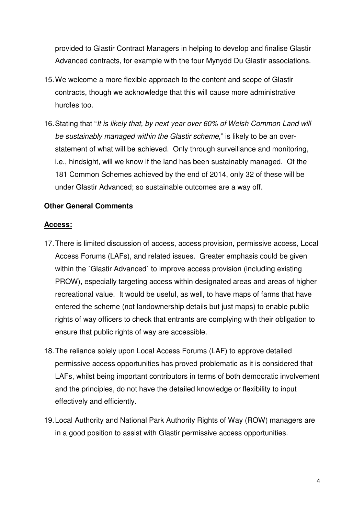provided to Glastir Contract Managers in helping to develop and finalise Glastir Advanced contracts, for example with the four Mynydd Du Glastir associations.

- 15. We welcome a more flexible approach to the content and scope of Glastir contracts, though we acknowledge that this will cause more administrative hurdles too.
- 16. Stating that "It is likely that, by next year over 60% of Welsh Common Land will be sustainably managed within the Glastir scheme," is likely to be an overstatement of what will be achieved. Only through surveillance and monitoring, i.e., hindsight, will we know if the land has been sustainably managed. Of the 181 Common Schemes achieved by the end of 2014, only 32 of these will be under Glastir Advanced; so sustainable outcomes are a way off.

#### **Other General Comments**

#### **Access:**

- 17. There is limited discussion of access, access provision, permissive access, Local Access Forums (LAFs), and related issues. Greater emphasis could be given within the `Glastir Advanced` to improve access provision (including existing PROW), especially targeting access within designated areas and areas of higher recreational value. It would be useful, as well, to have maps of farms that have entered the scheme (not landownership details but just maps) to enable public rights of way officers to check that entrants are complying with their obligation to ensure that public rights of way are accessible.
- 18. The reliance solely upon Local Access Forums (LAF) to approve detailed permissive access opportunities has proved problematic as it is considered that LAFs, whilst being important contributors in terms of both democratic involvement and the principles, do not have the detailed knowledge or flexibility to input effectively and efficiently.
- 19. Local Authority and National Park Authority Rights of Way (ROW) managers are in a good position to assist with Glastir permissive access opportunities.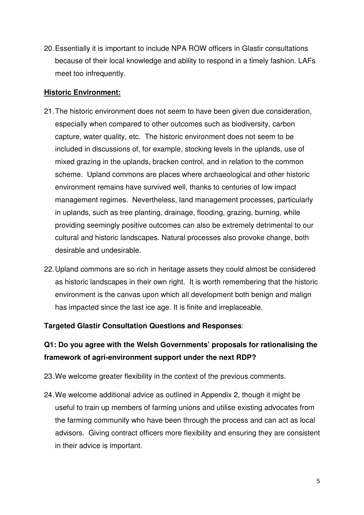20. Essentially it is important to include NPA ROW officers in Glastir consultations because of their local knowledge and ability to respond in a timely fashion. LAFs meet too infrequently.

#### **Historic Environment:**

- 21. The historic environment does not seem to have been given due consideration, especially when compared to other outcomes such as biodiversity, carbon capture, water quality, etc. The historic environment does not seem to be included in discussions of, for example, stocking levels in the uplands, use of mixed grazing in the uplands, bracken control, and in relation to the common scheme. Upland commons are places where archaeological and other historic environment remains have survived well, thanks to centuries of low impact management regimes. Nevertheless, land management processes, particularly in uplands, such as tree planting, drainage, flooding, grazing, burning, while providing seemingly positive outcomes can also be extremely detrimental to our cultural and historic landscapes. Natural processes also provoke change, both desirable and undesirable.
- 22. Upland commons are so rich in heritage assets they could almost be considered as historic landscapes in their own right. It is worth remembering that the historic environment is the canvas upon which all development both benign and malign has impacted since the last ice age. It is finite and irreplaceable.

#### **Targeted Glastir Consultation Questions and Responses**:

# **Q1: Do you agree with the Welsh Governments' proposals for rationalising the framework of agri-environment support under the next RDP?**

- 23. We welcome greater flexibility in the context of the previous comments.
- 24. We welcome additional advice as outlined in Appendix 2, though it might be useful to train up members of farming unions and utilise existing advocates from the farming community who have been through the process and can act as local advisors. Giving contract officers more flexibility and ensuring they are consistent in their advice is important.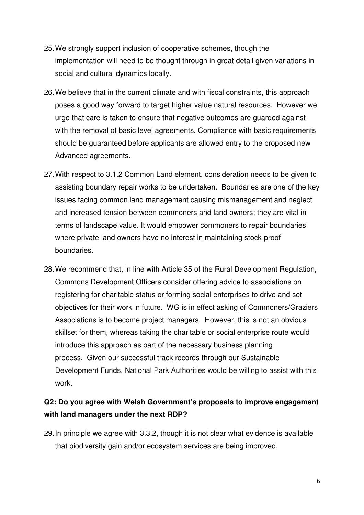- 25. We strongly support inclusion of cooperative schemes, though the implementation will need to be thought through in great detail given variations in social and cultural dynamics locally.
- 26. We believe that in the current climate and with fiscal constraints, this approach poses a good way forward to target higher value natural resources. However we urge that care is taken to ensure that negative outcomes are guarded against with the removal of basic level agreements. Compliance with basic requirements should be guaranteed before applicants are allowed entry to the proposed new Advanced agreements.
- 27. With respect to 3.1.2 Common Land element, consideration needs to be given to assisting boundary repair works to be undertaken. Boundaries are one of the key issues facing common land management causing mismanagement and neglect and increased tension between commoners and land owners; they are vital in terms of landscape value. It would empower commoners to repair boundaries where private land owners have no interest in maintaining stock-proof boundaries.
- 28. We recommend that, in line with Article 35 of the Rural Development Regulation, Commons Development Officers consider offering advice to associations on registering for charitable status or forming social enterprises to drive and set objectives for their work in future. WG is in effect asking of Commoners/Graziers Associations is to become project managers. However, this is not an obvious skillset for them, whereas taking the charitable or social enterprise route would introduce this approach as part of the necessary business planning process. Given our successful track records through our Sustainable Development Funds, National Park Authorities would be willing to assist with this work.

# **Q2: Do you agree with Welsh Government's proposals to improve engagement with land managers under the next RDP?**

29. In principle we agree with 3.3.2, though it is not clear what evidence is available that biodiversity gain and/or ecosystem services are being improved.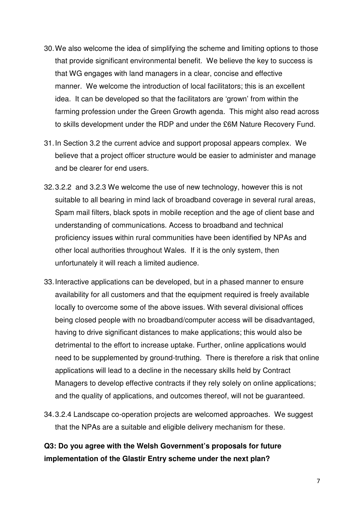- 30. We also welcome the idea of simplifying the scheme and limiting options to those that provide significant environmental benefit. We believe the key to success is that WG engages with land managers in a clear, concise and effective manner. We welcome the introduction of local facilitators; this is an excellent idea. It can be developed so that the facilitators are 'grown' from within the farming profession under the Green Growth agenda. This might also read across to skills development under the RDP and under the £6M Nature Recovery Fund.
- 31. In Section 3.2 the current advice and support proposal appears complex. We believe that a project officer structure would be easier to administer and manage and be clearer for end users.
- 32. 3.2.2 and 3.2.3 We welcome the use of new technology, however this is not suitable to all bearing in mind lack of broadband coverage in several rural areas, Spam mail filters, black spots in mobile reception and the age of client base and understanding of communications. Access to broadband and technical proficiency issues within rural communities have been identified by NPAs and other local authorities throughout Wales. If it is the only system, then unfortunately it will reach a limited audience.
- 33. Interactive applications can be developed, but in a phased manner to ensure availability for all customers and that the equipment required is freely available locally to overcome some of the above issues. With several divisional offices being closed people with no broadband/computer access will be disadvantaged, having to drive significant distances to make applications; this would also be detrimental to the effort to increase uptake. Further, online applications would need to be supplemented by ground-truthing. There is therefore a risk that online applications will lead to a decline in the necessary skills held by Contract Managers to develop effective contracts if they rely solely on online applications; and the quality of applications, and outcomes thereof, will not be guaranteed.
- 34. 3.2.4 Landscape co-operation projects are welcomed approaches. We suggest that the NPAs are a suitable and eligible delivery mechanism for these.

# **Q3: Do you agree with the Welsh Government's proposals for future implementation of the Glastir Entry scheme under the next plan?**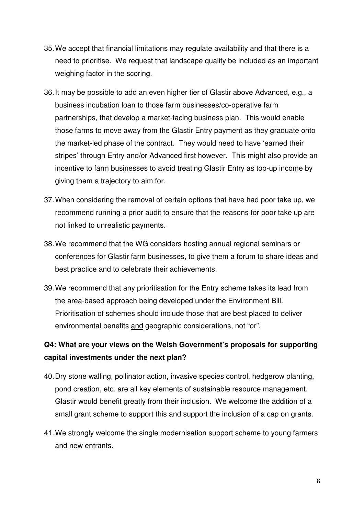- 35. We accept that financial limitations may regulate availability and that there is a need to prioritise. We request that landscape quality be included as an important weighing factor in the scoring.
- 36. It may be possible to add an even higher tier of Glastir above Advanced, e.g., a business incubation loan to those farm businesses/co-operative farm partnerships, that develop a market-facing business plan. This would enable those farms to move away from the Glastir Entry payment as they graduate onto the market-led phase of the contract. They would need to have 'earned their stripes' through Entry and/or Advanced first however. This might also provide an incentive to farm businesses to avoid treating Glastir Entry as top-up income by giving them a trajectory to aim for.
- 37. When considering the removal of certain options that have had poor take up, we recommend running a prior audit to ensure that the reasons for poor take up are not linked to unrealistic payments.
- 38. We recommend that the WG considers hosting annual regional seminars or conferences for Glastir farm businesses, to give them a forum to share ideas and best practice and to celebrate their achievements.
- 39. We recommend that any prioritisation for the Entry scheme takes its lead from the area-based approach being developed under the Environment Bill. Prioritisation of schemes should include those that are best placed to deliver environmental benefits and geographic considerations, not "or".

### **Q4: What are your views on the Welsh Government's proposals for supporting capital investments under the next plan?**

- 40. Dry stone walling, pollinator action, invasive species control, hedgerow planting, pond creation, etc. are all key elements of sustainable resource management. Glastir would benefit greatly from their inclusion. We welcome the addition of a small grant scheme to support this and support the inclusion of a cap on grants.
- 41. We strongly welcome the single modernisation support scheme to young farmers and new entrants.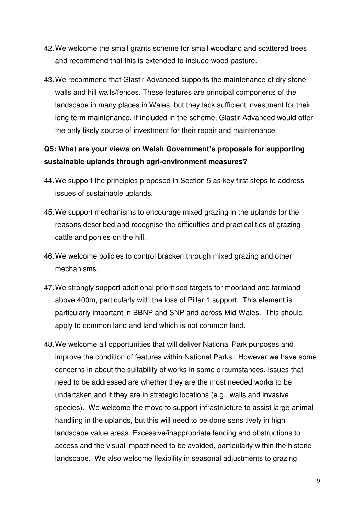- 42. We welcome the small grants scheme for small woodland and scattered trees and recommend that this is extended to include wood pasture.
- 43. We recommend that Glastir Advanced supports the maintenance of dry stone walls and hill walls/fences. These features are principal components of the landscape in many places in Wales, but they lack sufficient investment for their long term maintenance. If included in the scheme, Glastir Advanced would offer the only likely source of investment for their repair and maintenance.

### **Q5: What are your views on Welsh Government's proposals for supporting sustainable uplands through agri-environment measures?**

- 44. We support the principles proposed in Section 5 as key first steps to address issues of sustainable uplands.
- 45. We support mechanisms to encourage mixed grazing in the uplands for the reasons described and recognise the difficulties and practicalities of grazing cattle and ponies on the hill.
- 46. We welcome policies to control bracken through mixed grazing and other mechanisms.
- 47. We strongly support additional prioritised targets for moorland and farmland above 400m, particularly with the loss of Pillar 1 support. This element is particularly important in BBNP and SNP and across Mid-Wales. This should apply to common land and land which is not common land.
- 48. We welcome all opportunities that will deliver National Park purposes and improve the condition of features within National Parks. However we have some concerns in about the suitability of works in some circumstances. Issues that need to be addressed are whether they are the most needed works to be undertaken and if they are in strategic locations (e.g., walls and invasive species). We welcome the move to support infrastructure to assist large animal handling in the uplands, but this will need to be done sensitively in high landscape value areas. Excessive/inappropriate fencing and obstructions to access and the visual impact need to be avoided, particularly within the historic landscape. We also welcome flexibility in seasonal adjustments to grazing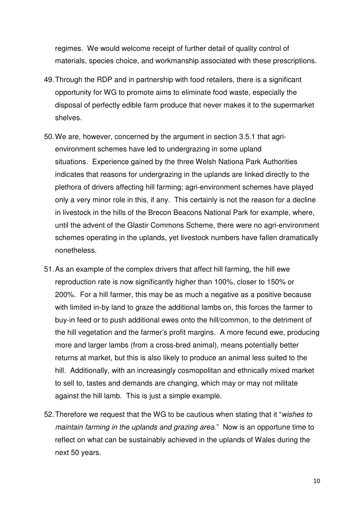regimes. We would welcome receipt of further detail of quality control of materials, species choice, and workmanship associated with these prescriptions.

- 49. Through the RDP and in partnership with food retailers, there is a significant opportunity for WG to promote aims to eliminate food waste, especially the disposal of perfectly edible farm produce that never makes it to the supermarket shelves.
- 50. We are, however, concerned by the argument in section 3.5.1 that agrienvironment schemes have led to undergrazing in some upland situations. Experience gained by the three Welsh Nationa Park Authorities indicates that reasons for undergrazing in the uplands are linked directly to the plethora of drivers affecting hill farming; agri-environment schemes have played only a very minor role in this, if any. This certainly is not the reason for a decline in livestock in the hills of the Brecon Beacons National Park for example, where, until the advent of the Glastir Commons Scheme, there were no agri-environment schemes operating in the uplands, yet livestock numbers have fallen dramatically nonetheless.
- 51. As an example of the complex drivers that affect hill farming, the hill ewe reproduction rate is now significantly higher than 100%, closer to 150% or 200%. For a hill farmer, this may be as much a negative as a positive because with limited in-by land to graze the additional lambs on, this forces the farmer to buy-in feed or to push additional ewes onto the hill/common, to the detriment of the hill vegetation and the farmer's profit margins. A more fecund ewe, producing more and larger lambs (from a cross-bred animal), means potentially better returns at market, but this is also likely to produce an animal less suited to the hill. Additionally, with an increasingly cosmopolitan and ethnically mixed market to sell to, tastes and demands are changing, which may or may not militate against the hill lamb. This is just a simple example.
- 52. Therefore we request that the WG to be cautious when stating that it "wishes to maintain farming in the uplands and grazing area." Now is an opportune time to reflect on what can be sustainably achieved in the uplands of Wales during the next 50 years.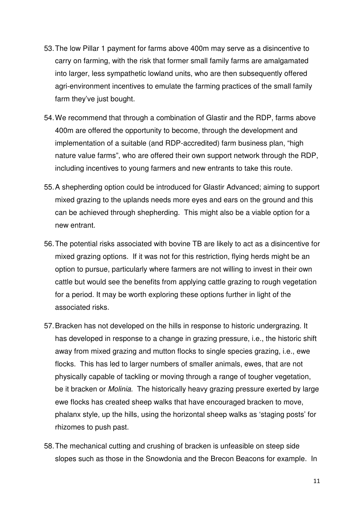- 53. The low Pillar 1 payment for farms above 400m may serve as a disincentive to carry on farming, with the risk that former small family farms are amalgamated into larger, less sympathetic lowland units, who are then subsequently offered agri-environment incentives to emulate the farming practices of the small family farm they've just bought.
- 54. We recommend that through a combination of Glastir and the RDP, farms above 400m are offered the opportunity to become, through the development and implementation of a suitable (and RDP-accredited) farm business plan, "high nature value farms", who are offered their own support network through the RDP, including incentives to young farmers and new entrants to take this route.
- 55. A shepherding option could be introduced for Glastir Advanced; aiming to support mixed grazing to the uplands needs more eyes and ears on the ground and this can be achieved through shepherding. This might also be a viable option for a new entrant.
- 56. The potential risks associated with bovine TB are likely to act as a disincentive for mixed grazing options. If it was not for this restriction, flying herds might be an option to pursue, particularly where farmers are not willing to invest in their own cattle but would see the benefits from applying cattle grazing to rough vegetation for a period. It may be worth exploring these options further in light of the associated risks.
- 57. Bracken has not developed on the hills in response to historic undergrazing. It has developed in response to a change in grazing pressure, i.e., the historic shift away from mixed grazing and mutton flocks to single species grazing, i.e., ewe flocks. This has led to larger numbers of smaller animals, ewes, that are not physically capable of tackling or moving through a range of tougher vegetation, be it bracken or *Molinia*. The historically heavy grazing pressure exerted by large ewe flocks has created sheep walks that have encouraged bracken to move, phalanx style, up the hills, using the horizontal sheep walks as 'staging posts' for rhizomes to push past.
- 58. The mechanical cutting and crushing of bracken is unfeasible on steep side slopes such as those in the Snowdonia and the Brecon Beacons for example. In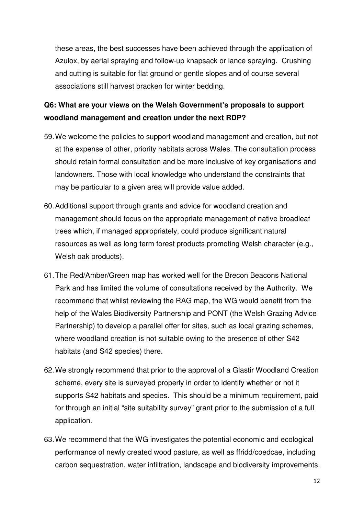these areas, the best successes have been achieved through the application of Azulox, by aerial spraying and follow-up knapsack or lance spraying. Crushing and cutting is suitable for flat ground or gentle slopes and of course several associations still harvest bracken for winter bedding.

# **Q6: What are your views on the Welsh Government's proposals to support woodland management and creation under the next RDP?**

- 59. We welcome the policies to support woodland management and creation, but not at the expense of other, priority habitats across Wales. The consultation process should retain formal consultation and be more inclusive of key organisations and landowners. Those with local knowledge who understand the constraints that may be particular to a given area will provide value added.
- 60. Additional support through grants and advice for woodland creation and management should focus on the appropriate management of native broadleaf trees which, if managed appropriately, could produce significant natural resources as well as long term forest products promoting Welsh character (e.g., Welsh oak products).
- 61. The Red/Amber/Green map has worked well for the Brecon Beacons National Park and has limited the volume of consultations received by the Authority. We recommend that whilst reviewing the RAG map, the WG would benefit from the help of the Wales Biodiversity Partnership and PONT (the Welsh Grazing Advice Partnership) to develop a parallel offer for sites, such as local grazing schemes, where woodland creation is not suitable owing to the presence of other S42 habitats (and S42 species) there.
- 62. We strongly recommend that prior to the approval of a Glastir Woodland Creation scheme, every site is surveyed properly in order to identify whether or not it supports S42 habitats and species. This should be a minimum requirement, paid for through an initial "site suitability survey" grant prior to the submission of a full application.
- 63. We recommend that the WG investigates the potential economic and ecological performance of newly created wood pasture, as well as ffridd/coedcae, including carbon sequestration, water infiltration, landscape and biodiversity improvements.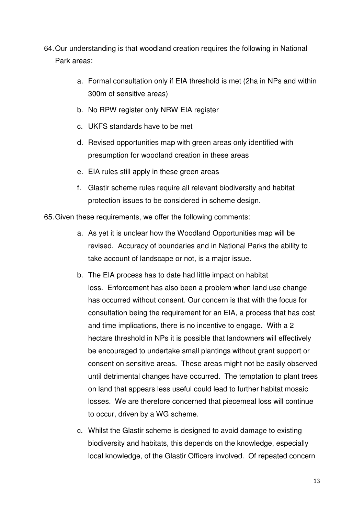- 64. Our understanding is that woodland creation requires the following in National Park areas:
	- a. Formal consultation only if EIA threshold is met (2ha in NPs and within 300m of sensitive areas)
	- b. No RPW register only NRW EIA register
	- c. UKFS standards have to be met
	- d. Revised opportunities map with green areas only identified with presumption for woodland creation in these areas
	- e. EIA rules still apply in these green areas
	- f. Glastir scheme rules require all relevant biodiversity and habitat protection issues to be considered in scheme design.

65. Given these requirements, we offer the following comments:

- a. As yet it is unclear how the Woodland Opportunities map will be revised. Accuracy of boundaries and in National Parks the ability to take account of landscape or not, is a major issue.
- b. The EIA process has to date had little impact on habitat loss. Enforcement has also been a problem when land use change has occurred without consent. Our concern is that with the focus for consultation being the requirement for an EIA, a process that has cost and time implications, there is no incentive to engage. With a 2 hectare threshold in NPs it is possible that landowners will effectively be encouraged to undertake small plantings without grant support or consent on sensitive areas. These areas might not be easily observed until detrimental changes have occurred. The temptation to plant trees on land that appears less useful could lead to further habitat mosaic losses. We are therefore concerned that piecemeal loss will continue to occur, driven by a WG scheme.
- c. Whilst the Glastir scheme is designed to avoid damage to existing biodiversity and habitats, this depends on the knowledge, especially local knowledge, of the Glastir Officers involved. Of repeated concern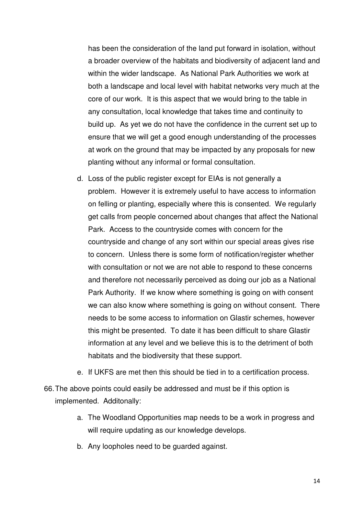has been the consideration of the land put forward in isolation, without a broader overview of the habitats and biodiversity of adjacent land and within the wider landscape. As National Park Authorities we work at both a landscape and local level with habitat networks very much at the core of our work. It is this aspect that we would bring to the table in any consultation, local knowledge that takes time and continuity to build up. As yet we do not have the confidence in the current set up to ensure that we will get a good enough understanding of the processes at work on the ground that may be impacted by any proposals for new planting without any informal or formal consultation.

- d. Loss of the public register except for EIAs is not generally a problem. However it is extremely useful to have access to information on felling or planting, especially where this is consented. We regularly get calls from people concerned about changes that affect the National Park. Access to the countryside comes with concern for the countryside and change of any sort within our special areas gives rise to concern. Unless there is some form of notification/register whether with consultation or not we are not able to respond to these concerns and therefore not necessarily perceived as doing our job as a National Park Authority. If we know where something is going on with consent we can also know where something is going on without consent. There needs to be some access to information on Glastir schemes, however this might be presented. To date it has been difficult to share Glastir information at any level and we believe this is to the detriment of both habitats and the biodiversity that these support.
- e. If UKFS are met then this should be tied in to a certification process.
- 66. The above points could easily be addressed and must be if this option is implemented. Additonally:
	- a. The Woodland Opportunities map needs to be a work in progress and will require updating as our knowledge develops.
	- b. Any loopholes need to be guarded against.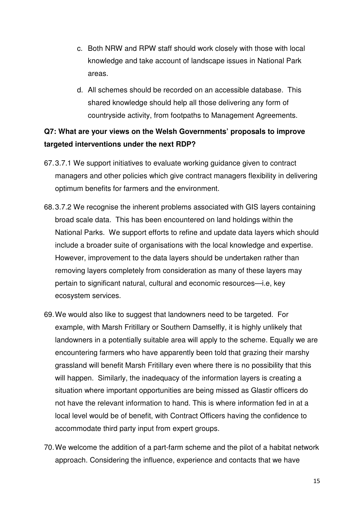- c. Both NRW and RPW staff should work closely with those with local knowledge and take account of landscape issues in National Park areas.
- d. All schemes should be recorded on an accessible database. This shared knowledge should help all those delivering any form of countryside activity, from footpaths to Management Agreements.

### **Q7: What are your views on the Welsh Governments' proposals to improve targeted interventions under the next RDP?**

- 67. 3.7.1 We support initiatives to evaluate working guidance given to contract managers and other policies which give contract managers flexibility in delivering optimum benefits for farmers and the environment.
- 68. 3.7.2 We recognise the inherent problems associated with GIS layers containing broad scale data. This has been encountered on land holdings within the National Parks. We support efforts to refine and update data layers which should include a broader suite of organisations with the local knowledge and expertise. However, improvement to the data layers should be undertaken rather than removing layers completely from consideration as many of these layers may pertain to significant natural, cultural and economic resources—i.e, key ecosystem services.
- 69. We would also like to suggest that landowners need to be targeted. For example, with Marsh Fritillary or Southern Damselfly, it is highly unlikely that landowners in a potentially suitable area will apply to the scheme. Equally we are encountering farmers who have apparently been told that grazing their marshy grassland will benefit Marsh Fritillary even where there is no possibility that this will happen. Similarly, the inadequacy of the information layers is creating a situation where important opportunities are being missed as Glastir officers do not have the relevant information to hand. This is where information fed in at a local level would be of benefit, with Contract Officers having the confidence to accommodate third party input from expert groups.
- 70. We welcome the addition of a part-farm scheme and the pilot of a habitat network approach. Considering the influence, experience and contacts that we have